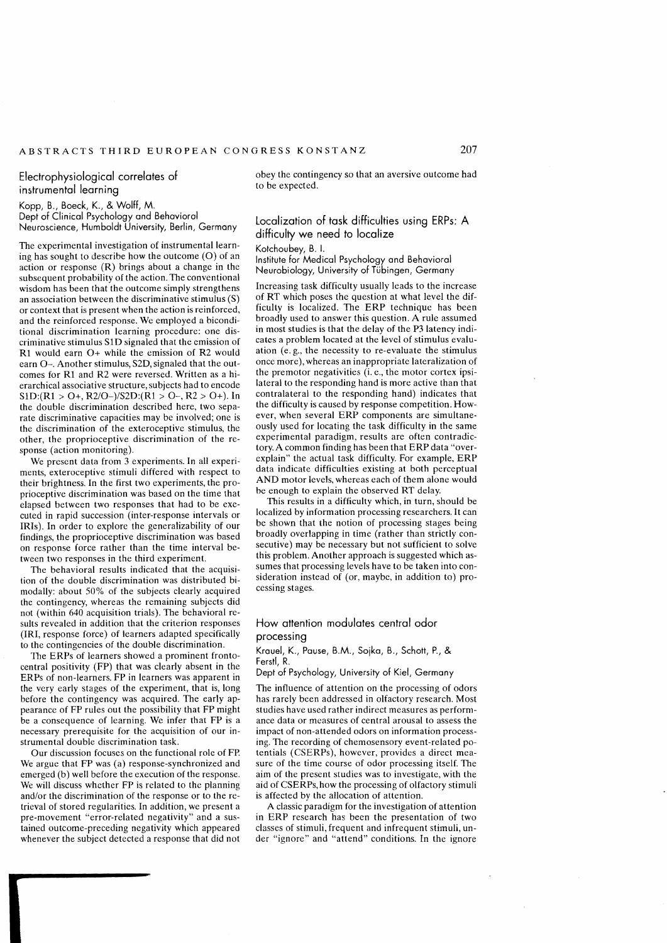# Electrophysiological correlates of instrumental learning

Kopp, B., Boeck, K., & Wolff, M. Dept of Clinical Psychology and Behavioral Neuroscience, Humboldt University, Berlin, Germany

The experimental investigation of instrumental learning has sought to describe how the outcome (0) of an action or response (R) brings about a change in the subsequent probability of the action. The conventional wisdom has been that the outcome simply strengthens an association between the discriminative stimulus (S) or context that is present when the action is reinforced, and the reinforced response. We employed a biconditional discrimination learning procedure: one discriminative stimulus SlD signaled that the emission of Rl would earn O+ while the emission of R2 would earn O-. Another stimulus, S2D, signaled that the outcomes for Rl and R2 were reversed. Written as a hierarchical associative structure, subjects had to encode  $S1D:(R1 > 0+$ ,  $R2/O$ –)/ $S2D:(R1 > 0-$ ,  $R2 > 0+$ ). In the double discrimination described here, two separate discriminative capacities may be involved; one is the discrimination of the exteroceptive stimulus, the other, the proprioceptive discrimination of the rcsponse (action monitoring).

We present data from 3 experiments. In all experiments, exteroceptive stimuli differed with respect to their brightness. In the first two experiments, the proprioceptive discrimination was based on the time that elapsed between two responses that had to be executed in rapid succession (inter-response intervals or IRis). In order to explore the generalizability of our findings, the proprioceptive discrimination was based on response force rather than the time interval between two responses in the third experiment.

The behavioral results indicated that the acquisition of the double discrimination was distributed bimodally: about 50% of the subjects clearly acquired the contingency, whereas the remaining subjects did not (within 640 acquisition trials). The behavioral results revealed in addition that the criterion responses (IRI, response force) of learners adapted specifically to the contingencies of the double discrimination.

The ERPs of learners showed a prominent frontocentral positivity (FP) that was clearly absent in the ERPs of non-learners. FP in learners was apparent in the very early stages of the experiment, that is, long before the contingency was acquired. The early appearancc of FP rules out the possibility that FP might be a consequence of learning. We infer that FP is a necessary prerequisite for the acquisition of our instrumental double discrimination task.

Our discussion focuses on the functional role of FP. We argue that FP was (a) response-synchronized and emerged (b) well before the execution of the response. We will discuss whether FP is related to the planning and/or the discrimination of the response or to the retrieval of stored regularities. In addition, we present a pre-movement "error-related negativity" and a sustained outcome-preceding negativity which appeared whenever the subject detected a response that did not

obey the contingency so that an aversive outcome had to be expected.

## Localization of task difficulties using ERPs: A difficulty we need to localize

Kotchoubey, B. 1.

Institute for Medical Psychology and Behavioral Neurobiology, University of Tübingen, Germany

Increasing task difficulty usually leads to the increase of RT which poses the question at what level the difficulty is localized. The ERP technique has been broadly used to answer this question. A rule assumed in most studies is that the delay of the P3 latency indicates a problem located at the level of stimulus evaluation (e.g., the necessity to re-evaluate the stimulus once more ), whereas an inappropriate lateralization of the premotor negativities (i. e., the motor cortex ipsilateral to the responding hand is more active than that contralateral to the responding hand) indicates that the difficulty is caused by response competition. However, when several ERP components are simultaneously used for locating the task difficulty in the same experimental paradigm, results are often contradictory. A common finding has been that ERP data "overexplain" the actual task difficulty. For example, ERP data indicate difficulties existing at both perceptual **AND** motor levels, whereas each of them alone would be enough to explain the observed **RT** delay.

This results in a difficulty which, in turn, should be localized by information processing researchers. **lt** can be shown that the notion of processing stages being broadly overlapping in time (rather than strictly consecutive) may be necessary but not sufficient to solve this problem. Another approach is suggested which assumes that processing levels have to be taken into consideration instead of (or, maybe, in addition to) processing stages.

## How attention modulates central odor processing

Krauel, K., Pause, B.M., Sojka, B., Schott, P., & Ferstl, R.

Dept of Psychology, University of Kiel, Germany

The influence of attention on the processing of odors has rarely been addressed in olfactory research. Most studies have used rather indirect measures as performance data or measures of central arousal to assess the impact of non-attended odors on information processing. The recording of chemosensory event-related potentials (CSERPs), however, provides a direct measure of the time course of odor processing itself. The aim of the present studies was to investigate, with the aid of CSERPs, how the processing of olfactory stimuli is affected by the allocation of attention.

A classic paradigm for the investigation of attention in ERP research has been the presentation of two classes of stimuli, frequent and infrequent stimuli, under "ignore" and "attend" conditions. In the ignore